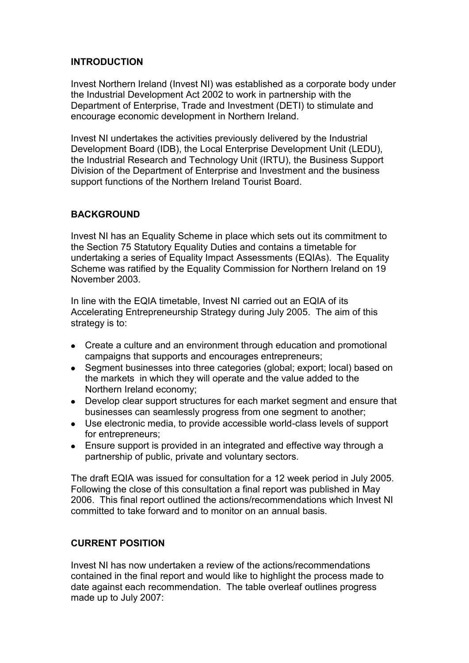## **INTRODUCTION**

Invest Northern Ireland (Invest NI) was established as a corporate body under the Industrial Development Act 2002 to work in partnership with the Department of Enterprise, Trade and Investment (DETI) to stimulate and encourage economic development in Northern Ireland.

Invest NI undertakes the activities previously delivered by the Industrial Development Board (IDB), the Local Enterprise Development Unit (LEDU), the Industrial Research and Technology Unit (IRTU), the Business Support Division of the Department of Enterprise and Investment and the business support functions of the Northern Ireland Tourist Board.

## **BACKGROUND**

Invest NI has an Equality Scheme in place which sets out its commitment to the Section 75 Statutory Equality Duties and contains a timetable for undertaking a series of Equality Impact Assessments (EQIAs). The Equality Scheme was ratified by the Equality Commission for Northern Ireland on 19 November 2003.

In line with the EQIA timetable, Invest NI carried out an EQIA of its Accelerating Entrepreneurship Strategy during July 2005. The aim of this strategy is to:

- Create a culture and an environment through education and promotional campaigns that supports and encourages entrepreneurs;
- Segment businesses into three categories (global: export: local) based on the markets in which they will operate and the value added to the Northern Ireland economy;
- Develop clear support structures for each market segment and ensure that businesses can seamlessly progress from one segment to another;
- Use electronic media, to provide accessible world-class levels of support for entrepreneurs;
- Ensure support is provided in an integrated and effective way through a partnership of public, private and voluntary sectors.

The draft EQIA was issued for consultation for a 12 week period in July 2005. Following the close of this consultation a final report was published in May 2006. This final report outlined the actions/recommendations which Invest NI committed to take forward and to monitor on an annual basis.

## **CURRENT POSITION**

Invest NI has now undertaken a review of the actions/recommendations contained in the final report and would like to highlight the process made to date against each recommendation. The table overleaf outlines progress made up to July 2007: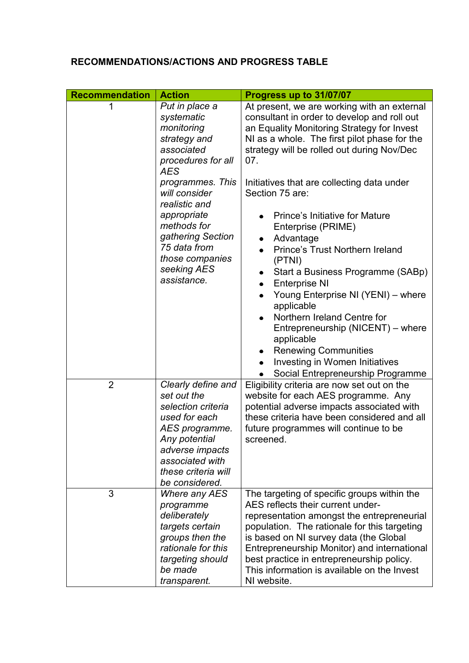# **RECOMMENDATIONS/ACTIONS AND PROGRESS TABLE**

| <b>Recommendation</b> | <b>Action</b>                                                                                                                                                                                                                                                                          | Progress up to 31/07/07                                                                                                                                                                                                                                                                                                                                                                                                                                                                                                                                                                                                                                                                                                                                                                  |
|-----------------------|----------------------------------------------------------------------------------------------------------------------------------------------------------------------------------------------------------------------------------------------------------------------------------------|------------------------------------------------------------------------------------------------------------------------------------------------------------------------------------------------------------------------------------------------------------------------------------------------------------------------------------------------------------------------------------------------------------------------------------------------------------------------------------------------------------------------------------------------------------------------------------------------------------------------------------------------------------------------------------------------------------------------------------------------------------------------------------------|
|                       | Put in place a<br>systematic<br>monitoring<br>strategy and<br>associated<br>procedures for all<br><b>AES</b><br>programmes. This<br>will consider<br>realistic and<br>appropriate<br>methods for<br>gathering Section<br>75 data from<br>those companies<br>seeking AES<br>assistance. | At present, we are working with an external<br>consultant in order to develop and roll out<br>an Equality Monitoring Strategy for Invest<br>NI as a whole. The first pilot phase for the<br>strategy will be rolled out during Nov/Dec<br>07.<br>Initiatives that are collecting data under<br>Section 75 are:<br><b>Prince's Initiative for Mature</b><br>Enterprise (PRIME)<br>Advantage<br>$\bullet$<br><b>Prince's Trust Northern Ireland</b><br>(PTNI)<br>Start a Business Programme (SABp)<br><b>Enterprise NI</b><br>$\bullet$<br>Young Enterprise NI (YENI) – where<br>$\bullet$<br>applicable<br>Northern Ireland Centre for<br>$\bullet$<br>Entrepreneurship (NICENT) - where<br>applicable<br><b>Renewing Communities</b><br>٠<br>Investing in Women Initiatives<br>$\bullet$ |
| $\overline{2}$        | Clearly define and<br>set out the<br>selection criteria<br>used for each<br>AES programme.<br>Any potential<br>adverse impacts<br>associated with<br>these criteria will<br>be considered.                                                                                             | Social Entrepreneurship Programme<br>Eligibility criteria are now set out on the<br>website for each AES programme. Any<br>potential adverse impacts associated with<br>these criteria have been considered and all<br>future programmes will continue to be<br>screened                                                                                                                                                                                                                                                                                                                                                                                                                                                                                                                 |
| 3                     | Where any AES<br>programme<br>deliberately<br>targets certain<br>groups then the<br>rationale for this<br>targeting should<br>be made<br>transparent.                                                                                                                                  | The targeting of specific groups within the<br>AES reflects their current under-<br>representation amongst the entrepreneurial<br>population. The rationale for this targeting<br>is based on NI survey data (the Global<br>Entrepreneurship Monitor) and international<br>best practice in entrepreneurship policy.<br>This information is available on the Invest<br>NI website.                                                                                                                                                                                                                                                                                                                                                                                                       |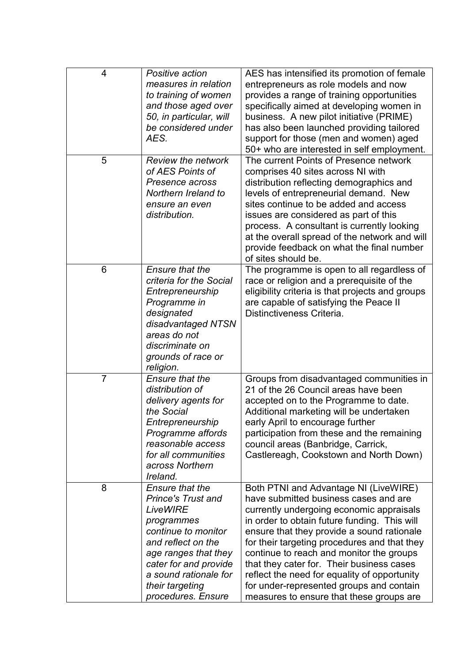| 4              | Positive action<br>measures in relation<br>to training of women<br>and those aged over<br>50, in particular, will<br>be considered under<br>AES.                                                                                                     | AES has intensified its promotion of female<br>entrepreneurs as role models and now<br>provides a range of training opportunities<br>specifically aimed at developing women in<br>business. A new pilot initiative (PRIME)<br>has also been launched providing tailored<br>support for those (men and women) aged<br>50+ who are interested in self employment.                                                                                                                                           |
|----------------|------------------------------------------------------------------------------------------------------------------------------------------------------------------------------------------------------------------------------------------------------|-----------------------------------------------------------------------------------------------------------------------------------------------------------------------------------------------------------------------------------------------------------------------------------------------------------------------------------------------------------------------------------------------------------------------------------------------------------------------------------------------------------|
| 5              | <b>Review the network</b><br>of AES Points of<br>Presence across<br>Northern Ireland to<br>ensure an even<br>distribution.                                                                                                                           | The current Points of Presence network<br>comprises 40 sites across NI with<br>distribution reflecting demographics and<br>levels of entrepreneurial demand. New<br>sites continue to be added and access<br>issues are considered as part of this<br>process. A consultant is currently looking<br>at the overall spread of the network and will<br>provide feedback on what the final number<br>of sites should be.                                                                                     |
| 6              | Ensure that the<br>criteria for the Social<br>Entrepreneurship<br>Programme in<br>designated<br>disadvantaged NTSN<br>areas do not<br>discriminate on<br>grounds of race or<br>religion.                                                             | The programme is open to all regardless of<br>race or religion and a prerequisite of the<br>eligibility criteria is that projects and groups<br>are capable of satisfying the Peace II<br>Distinctiveness Criteria.                                                                                                                                                                                                                                                                                       |
| $\overline{7}$ | Ensure that the<br>distribution of<br>delivery agents for<br>the Social<br>Entrepreneurship<br>Programme affords<br>reasonable access<br>for all communities<br>across Northern<br>Ireland.                                                          | Groups from disadvantaged communities in<br>21 of the 26 Council areas have been<br>accepted on to the Programme to date.<br>Additional marketing will be undertaken<br>early April to encourage further<br>participation from these and the remaining<br>council areas (Banbridge, Carrick,<br>Castlereagh, Cookstown and North Down)                                                                                                                                                                    |
| 8              | <b>Ensure that the</b><br><b>Prince's Trust and</b><br><b>LiveWIRE</b><br>programmes<br>continue to monitor<br>and reflect on the<br>age ranges that they<br>cater for and provide<br>a sound rationale for<br>their targeting<br>procedures. Ensure | Both PTNI and Advantage NI (LiveWIRE)<br>have submitted business cases and are<br>currently undergoing economic appraisals<br>in order to obtain future funding. This will<br>ensure that they provide a sound rationale<br>for their targeting procedures and that they<br>continue to reach and monitor the groups<br>that they cater for. Their business cases<br>reflect the need for equality of opportunity<br>for under-represented groups and contain<br>measures to ensure that these groups are |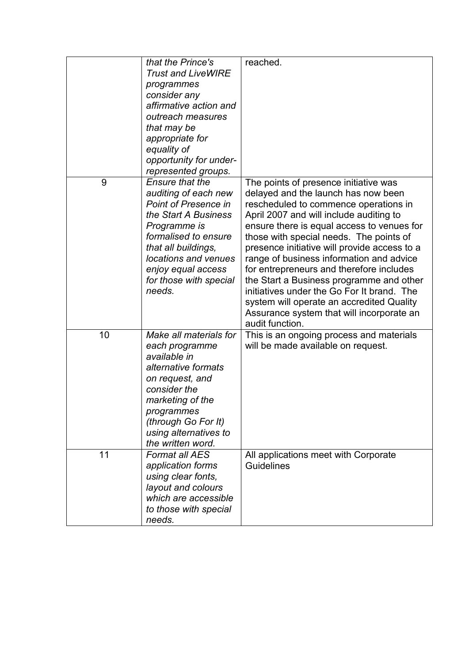|    | that the Prince's           | reached.                                     |
|----|-----------------------------|----------------------------------------------|
|    | <b>Trust and LiveWIRE</b>   |                                              |
|    | programmes                  |                                              |
|    | consider any                |                                              |
|    | affirmative action and      |                                              |
|    | outreach measures           |                                              |
|    | that may be                 |                                              |
|    |                             |                                              |
|    | appropriate for             |                                              |
|    | equality of                 |                                              |
|    | opportunity for under-      |                                              |
|    | represented groups.         |                                              |
| 9  | <b>Ensure that the</b>      | The points of presence initiative was        |
|    | auditing of each new        | delayed and the launch has now been          |
|    | <b>Point of Presence in</b> | rescheduled to commence operations in        |
|    | the Start A Business        | April 2007 and will include auditing to      |
|    | Programme is                | ensure there is equal access to venues for   |
|    | formalised to ensure        | those with special needs. The points of      |
|    | that all buildings,         | presence initiative will provide access to a |
|    | locations and venues        | range of business information and advice     |
|    | enjoy equal access          | for entrepreneurs and therefore includes     |
|    | for those with special      | the Start a Business programme and other     |
|    | needs.                      | initiatives under the Go For It brand. The   |
|    |                             | system will operate an accredited Quality    |
|    |                             | Assurance system that will incorporate an    |
|    |                             | audit function.                              |
| 10 | Make all materials for      | This is an ongoing process and materials     |
|    | each programme              | will be made available on request.           |
|    | available in                |                                              |
|    | alternative formats         |                                              |
|    | on request, and             |                                              |
|    | consider the                |                                              |
|    | marketing of the            |                                              |
|    | programmes                  |                                              |
|    | (through Go For It)         |                                              |
|    | using alternatives to       |                                              |
|    | the written word.           |                                              |
| 11 | <b>Format all AES</b>       | All applications meet with Corporate         |
|    | application forms           | <b>Guidelines</b>                            |
|    | using clear fonts,          |                                              |
|    | layout and colours          |                                              |
|    | which are accessible        |                                              |
|    | to those with special       |                                              |
|    | needs.                      |                                              |
|    |                             |                                              |